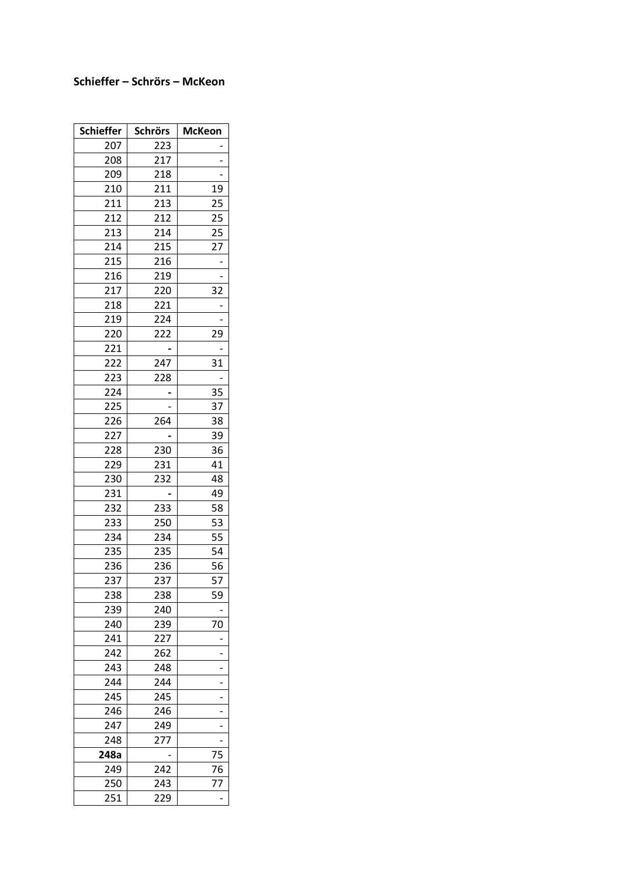## **Schieffer – Schrörs – McKeon**

| <b>Schieffer</b> | <b>Schrörs</b> | <b>McKeon</b> |
|------------------|----------------|---------------|
| 207              | 223            |               |
| 208              | 217            |               |
| 209              | 218            |               |
| 210              | 211            | 19            |
| 211              | 213            | 25            |
| 212              | 212            | 25            |
| 213              | 214            | 25            |
| 214              | 215            | 27            |
| 215              | 216            |               |
| 216              | 219            |               |
| 217              | 220            | 32            |
| 218              | 221            |               |
| 219              | 224            |               |
| 220              | 222            | 29            |
| 221              |                |               |
| 222              | 247            | 31            |
| 223              | 228            |               |
| 224              |                | 35            |
| 225              |                | 37            |
| 226              | 264            | 38            |
| 227              |                | 39            |
| 228              | 230            | 36            |
| 229              | 231            | 41            |
| 230              | 232            | 48            |
| 231              |                | 49            |
| 232              | 233            | 58            |
| 233              | 250            | 53            |
| 234              | 234            | 55            |
| 235              | 235            | 54            |
| 236              | 236            | 56            |
| 237              | 237            | 57            |
| 238              | 238            | 59            |
| 239              | 240            |               |
| 240              | 239            | 70            |
| 241              | 227            |               |
| 242              | 262            |               |
| 243              | 248            |               |
| 244              | 244            |               |
| 245              | 245            |               |
| 246              | 246            |               |
| 247              | 249            |               |
| 248              | 277            |               |
| 248a             |                | 75            |
| 249              | 242            | 76            |
| 250              | 243            | 77            |
| 251              | 229            |               |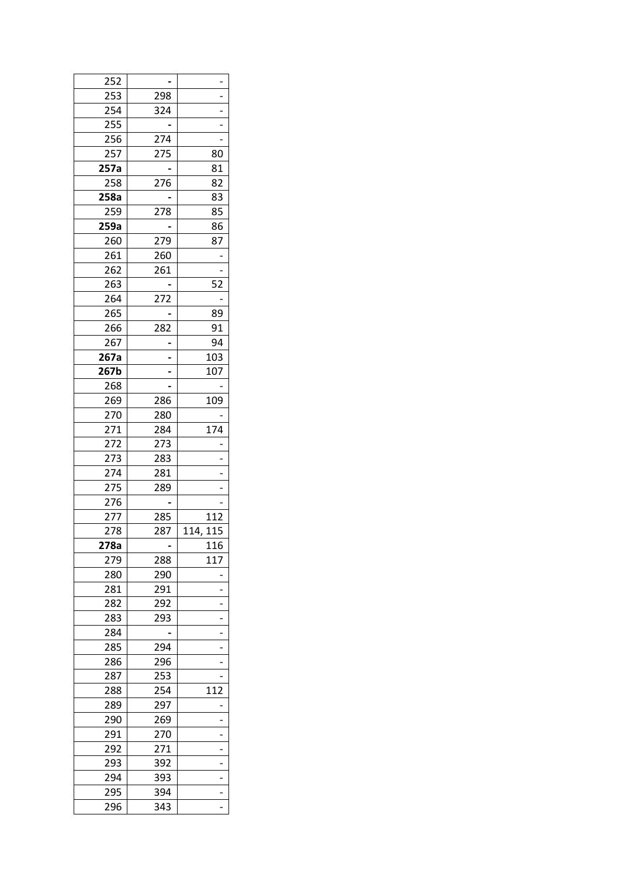| 252  |     |          |
|------|-----|----------|
| 253  | 298 |          |
| 254  | 324 |          |
| 255  |     |          |
| 256  | 274 |          |
| 257  | 275 | 80       |
| 257a |     | 81       |
| 258  | 276 | 82       |
| 258a |     | 83       |
| 259  | 278 | 85       |
| 259a |     | 86       |
|      | 279 | 87       |
| 260  |     |          |
| 261  | 260 |          |
| 262  | 261 |          |
| 263  |     | 52       |
| 264  | 272 |          |
| 265  |     | 89       |
| 266  | 282 | 91       |
| 267  |     | 94       |
| 267a |     | 103      |
| 267b |     | 107      |
| 268  |     |          |
| 269  | 286 | 109      |
| 270  | 280 |          |
| 271  | 284 | 174      |
| 272  | 273 |          |
| 273  | 283 |          |
| 274  | 281 |          |
| 275  | 289 |          |
| 276  |     |          |
| 277  | 285 | 112      |
| 278  | 287 | 114, 115 |
| 278a |     | 116      |
| 279  | 288 | 117      |
| 280  | 290 |          |
| 281  | 291 |          |
|      | 292 |          |
| 282  |     |          |
| 283  | 293 |          |
| 284  |     |          |
| 285  | 294 |          |
| 286  | 296 |          |
| 287  | 253 |          |
| 288  | 254 | 112      |
| 289  | 297 |          |
| 290  | 269 |          |
| 291  | 270 |          |
| 292  | 271 |          |
| 293  | 392 |          |
| 294  | 393 |          |
| 295  | 394 |          |
| 296  | 343 |          |